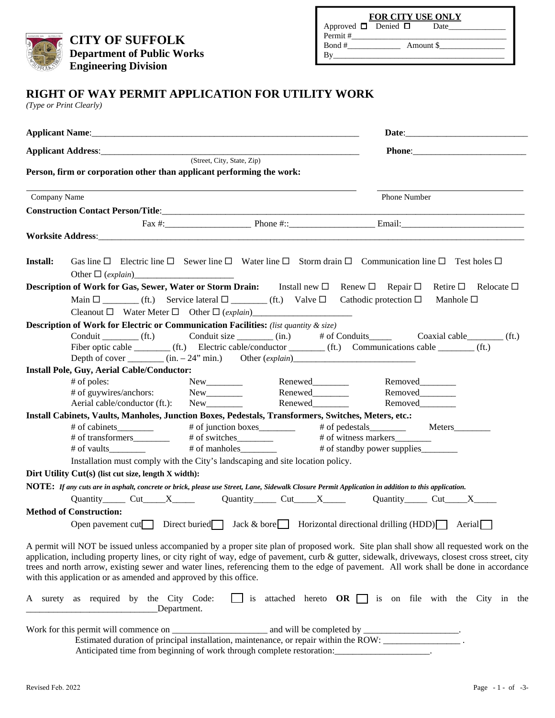**CITY OF SUFFOLK Department of Public Works Engineering Division** 

| <b>FOR CITY USE ONLY</b> |  |  |  |  |  |  |
|--------------------------|--|--|--|--|--|--|
|                          |  |  |  |  |  |  |
| Permit #                 |  |  |  |  |  |  |
| Bond #<br>Amount \$      |  |  |  |  |  |  |
| Bv                       |  |  |  |  |  |  |
|                          |  |  |  |  |  |  |

## **RIGHT OF WAY PERMIT APPLICATION FOR UTILITY WORK**

*(Type or Print Clearly)*

|                 | Applicant Address: (Street, City, State, Zip)                                                                                                                                           |                                                                                   |                                                              |  |
|-----------------|-----------------------------------------------------------------------------------------------------------------------------------------------------------------------------------------|-----------------------------------------------------------------------------------|--------------------------------------------------------------|--|
|                 | Person, firm or corporation other than applicant performing the work:                                                                                                                   |                                                                                   |                                                              |  |
| Company Name    |                                                                                                                                                                                         |                                                                                   | <b>Phone Number</b>                                          |  |
|                 |                                                                                                                                                                                         |                                                                                   |                                                              |  |
|                 |                                                                                                                                                                                         |                                                                                   | Fax $\#$ : Phone $\#$ : Phone $\#$ : Email:                  |  |
|                 | Worksite Address: North March 2014   March 2014   March 2014   March 2014   March 2014   March 2014   March 20                                                                          |                                                                                   |                                                              |  |
|                 |                                                                                                                                                                                         |                                                                                   |                                                              |  |
| <b>Install:</b> | Gas line $\Box$ Electric line $\Box$ Sewer line $\Box$ Water line $\Box$ Storm drain $\Box$ Communication line $\Box$ Test holes $\Box$                                                 |                                                                                   |                                                              |  |
|                 |                                                                                                                                                                                         |                                                                                   |                                                              |  |
|                 | <b>Description of Work for Gas, Sewer, Water or Storm Drain:</b> Install new $\Box$ Renew $\Box$ Repair $\Box$                                                                          |                                                                                   | Relocate $\square$<br>Retire $\square$                       |  |
|                 | Main $\square$ (ft.) Service lateral $\square$ (ft.) Valve $\square$ Cathodic protection $\square$                                                                                      |                                                                                   | Manhole $\square$                                            |  |
|                 |                                                                                                                                                                                         |                                                                                   |                                                              |  |
|                 | <b>Description of Work for Electric or Communication Facilities:</b> (list quantity & size)                                                                                             |                                                                                   |                                                              |  |
|                 | Conduit (ft.) Conduit size (in.) # of Conduits Coaxial cable (ft.)<br>Fiber optic cable _________ (ft.) Electric cable/conductor ________ (ft.) Communications cable ________ (ft.)     |                                                                                   |                                                              |  |
|                 | Depth of cover $\frac{(\text{in.} -24)^n \text{min.})}{\text{in.} -24^n \text{min.}}}$ Other $\frac{(explain) \text{max} - exp(in -24)^n \text{min.}}{2 \text{min} - 24^n \text{min.}}$ |                                                                                   |                                                              |  |
|                 | <b>Install Pole, Guy, Aerial Cable/Conductor:</b>                                                                                                                                       |                                                                                   |                                                              |  |
|                 | # of poles:                                                                                                                                                                             |                                                                                   |                                                              |  |
|                 |                                                                                                                                                                                         |                                                                                   |                                                              |  |
|                 | Aerial cable/conductor (ft.): New                                                                                                                                                       | New Renewed Removed<br>New Renewed Removed Removed<br>New Renewed Removed Removed |                                                              |  |
|                 | Install Cabinets, Vaults, Manholes, Junction Boxes, Pedestals, Transformers, Switches, Meters, etc.:                                                                                    |                                                                                   |                                                              |  |
|                 |                                                                                                                                                                                         |                                                                                   |                                                              |  |
|                 |                                                                                                                                                                                         |                                                                                   | # of witness markers__________                               |  |
|                 |                                                                                                                                                                                         |                                                                                   |                                                              |  |
|                 | Installation must comply with the City's landscaping and site location policy.                                                                                                          |                                                                                   |                                                              |  |
|                 | Dirt Utility Cut(s) (list cut size, length X width):                                                                                                                                    |                                                                                   |                                                              |  |
|                 | NOTE: If any cuts are in asphalt, concrete or brick, please use Street, Lane, Sidewalk Closure Permit Application in addition to this application.                                      |                                                                                   |                                                              |  |
|                 | Quantity Cut X Quantity Cut X Quantity Cut X Quantity Cut X X                                                                                                                           |                                                                                   |                                                              |  |
|                 | <b>Method of Construction:</b>                                                                                                                                                          |                                                                                   |                                                              |  |
|                 | Open pavement cut Direct buried Jack & bore Horizontal directional drilling $(HDD)$ Aerial                                                                                              |                                                                                   |                                                              |  |
|                 | A permit will NOT be issued unless accompanied by a proper site plan of proposed work. Site plan shall show all requested work on the                                                   |                                                                                   |                                                              |  |
|                 | application, including property lines, or city right of way, edge of pavement, curb & gutter, sidewalk, driveways, closest cross street, city                                           |                                                                                   |                                                              |  |
|                 | trees and north arrow, existing sewer and water lines, referencing them to the edge of pavement. All work shall be done in accordance                                                   |                                                                                   |                                                              |  |
|                 | with this application or as amended and approved by this office.                                                                                                                        |                                                                                   |                                                              |  |
|                 | A surety as required by the City Code:<br>Department.                                                                                                                                   |                                                                                   | is attached hereto $OR \Box$ is on file with the City in the |  |
|                 |                                                                                                                                                                                         |                                                                                   |                                                              |  |
|                 |                                                                                                                                                                                         |                                                                                   |                                                              |  |
|                 | Anticipated time from beginning of work through complete restoration:__________________.                                                                                                |                                                                                   |                                                              |  |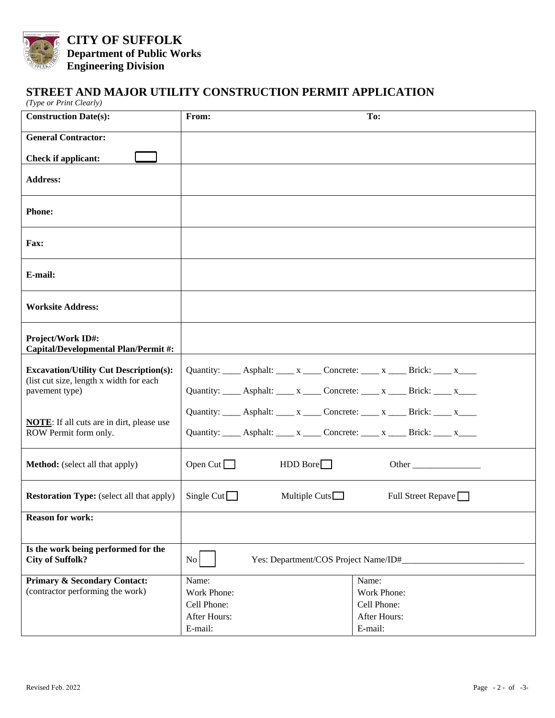

**CITY OF SUFFOLK Department of Public Works Engineering Division** 

## **STREET AND MAJOR UTILITY CONSTRUCTION PERMIT APPLICATION**

| (Type or Print Clearly)                                                     |                                                                                    |                            |  |
|-----------------------------------------------------------------------------|------------------------------------------------------------------------------------|----------------------------|--|
| <b>Construction Date(s):</b>                                                | From:                                                                              | To:                        |  |
| <b>General Contractor:</b>                                                  |                                                                                    |                            |  |
| <b>Check if applicant:</b>                                                  |                                                                                    |                            |  |
| <b>Address:</b>                                                             |                                                                                    |                            |  |
| <b>Phone:</b>                                                               |                                                                                    |                            |  |
| Fax:                                                                        |                                                                                    |                            |  |
| E-mail:                                                                     |                                                                                    |                            |  |
| <b>Worksite Address:</b>                                                    |                                                                                    |                            |  |
| Project/Work ID#:<br><b>Capital/Developmental Plan/Permit#:</b>             |                                                                                    |                            |  |
| <b>Excavation/Utility Cut Description(s):</b>                               | Quantity: _____ Asphalt: _____ x _____ Concrete: _____ x _____ Brick: _____ x ____ |                            |  |
| (list cut size, length x width for each<br>pavement type)                   | Quantity: _____ Asphalt: _____ x _____ Concrete: _____ x _____ Brick: _____ x____  |                            |  |
|                                                                             | Quantity: _____ Asphalt: _____ x _____ Concrete: _____ x _____ Brick: _____ x____  |                            |  |
| <b>NOTE:</b> If all cuts are in dirt, please use<br>ROW Permit form only.   | Quantity: _____ Asphalt: _____ x _____ Concrete: _____ x _____ Brick: ____ x ____  |                            |  |
| <b>Method:</b> (select all that apply)                                      | Open Cut $\Box$<br>HDD Bore                                                        | Other                      |  |
| <b>Restoration Type:</b> (select all that apply)                            | Single Cut $\Box$<br>Multiple Cuts $\Box$                                          | Full Street Repave         |  |
| <b>Reason for work:</b>                                                     |                                                                                    |                            |  |
| Is the work being performed for the<br><b>City of Suffolk?</b>              | No<br>Yes: Department/COS Project Name/ID#_                                        |                            |  |
| <b>Primary &amp; Secondary Contact:</b><br>(contractor performing the work) | Name:                                                                              | Name:                      |  |
|                                                                             | Work Phone:<br>Cell Phone:                                                         | Work Phone:<br>Cell Phone: |  |
|                                                                             | After Hours:                                                                       | After Hours:               |  |
|                                                                             | E-mail:                                                                            | E-mail:                    |  |